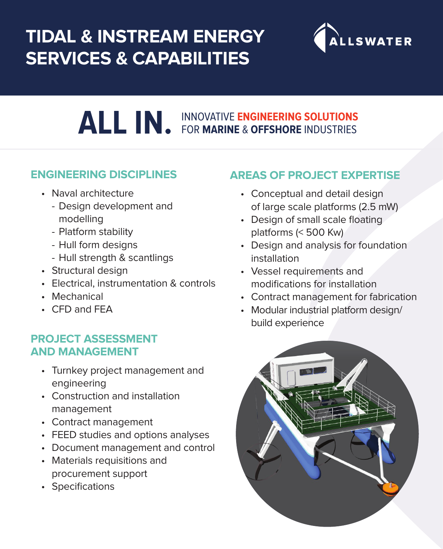## **TIDAL & INSTREAM ENERGY SERVICES & CAPABILITIES**



# **ALL IN.** INNOVATIVE **ENGINEERING SOLUTIONS**  FOR **MARINE** & **OFFSHORE** INDUSTRIES

#### **ENGINEERING DISCIPLINES**

- Naval architecture
	- Design development and modelling
	- Platform stability
	- Hull form designs
	- Hull strength & scantlings
- Structural design
- Electrical, instrumentation & controls
- Mechanical
- CFD and FEA

#### **PROJECT ASSESSMENT AND MANAGEMENT**

- Turnkey project management and engineering
- Construction and installation management
- Contract management
- FEED studies and options analyses
- Document management and control
- Materials requisitions and procurement support
- Specifications

#### **AREAS OF PROJECT EXPERTISE**

- Conceptual and detail design of large scale platforms (2.5 mW)
- Design of small scale floating platforms (< 500 Kw)
- Design and analysis for foundation installation
- Vessel requirements and modifications for installation
- Contract management for fabrication
- Modular industrial platform design/ build experience